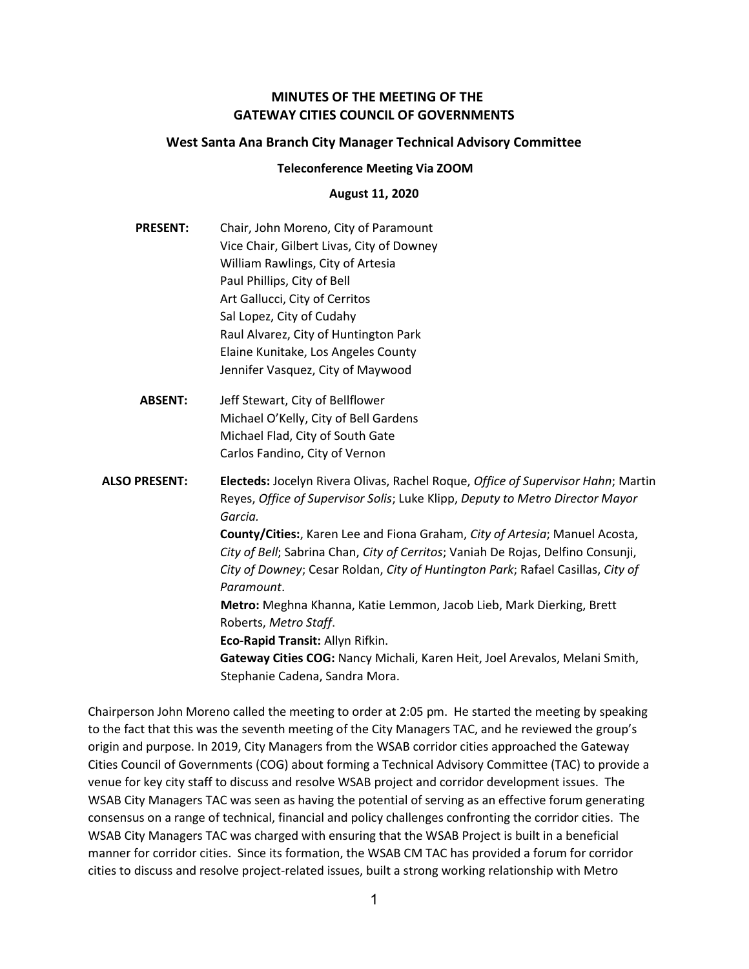# MINUTES OF THE MEETING OF THE GATEWAY CITIES COUNCIL OF GOVERNMENTS

### West Santa Ana Branch City Manager Technical Advisory Committee

#### Teleconference Meeting Via ZOOM

#### August 11, 2020

- PRESENT: Chair, John Moreno, City of Paramount Vice Chair, Gilbert Livas, City of Downey William Rawlings, City of Artesia Paul Phillips, City of Bell Art Gallucci, City of Cerritos Sal Lopez, City of Cudahy Raul Alvarez, City of Huntington Park Elaine Kunitake, Los Angeles County Jennifer Vasquez, City of Maywood
- ABSENT: Jeff Stewart, City of Bellflower Michael O'Kelly, City of Bell Gardens Michael Flad, City of South Gate Carlos Fandino, City of Vernon
- ALSO PRESENT: Electeds: Jocelyn Rivera Olivas, Rachel Roque, Office of Supervisor Hahn; Martin Reyes, Office of Supervisor Solis; Luke Klipp, Deputy to Metro Director Mayor Garcia. County/Cities:, Karen Lee and Fiona Graham, City of Artesia; Manuel Acosta, City of Bell; Sabrina Chan, City of Cerritos; Vaniah De Rojas, Delfino Consunji, City of Downey; Cesar Roldan, City of Huntington Park; Rafael Casillas, City of Paramount. Metro: Meghna Khanna, Katie Lemmon, Jacob Lieb, Mark Dierking, Brett Roberts, Metro Staff. Eco-Rapid Transit: Allyn Rifkin. Gateway Cities COG: Nancy Michali, Karen Heit, Joel Arevalos, Melani Smith, Stephanie Cadena, Sandra Mora.

Chairperson John Moreno called the meeting to order at 2:05 pm. He started the meeting by speaking to the fact that this was the seventh meeting of the City Managers TAC, and he reviewed the group's origin and purpose. In 2019, City Managers from the WSAB corridor cities approached the Gateway Cities Council of Governments (COG) about forming a Technical Advisory Committee (TAC) to provide a venue for key city staff to discuss and resolve WSAB project and corridor development issues. The WSAB City Managers TAC was seen as having the potential of serving as an effective forum generating consensus on a range of technical, financial and policy challenges confronting the corridor cities. The WSAB City Managers TAC was charged with ensuring that the WSAB Project is built in a beneficial manner for corridor cities. Since its formation, the WSAB CM TAC has provided a forum for corridor cities to discuss and resolve project-related issues, built a strong working relationship with Metro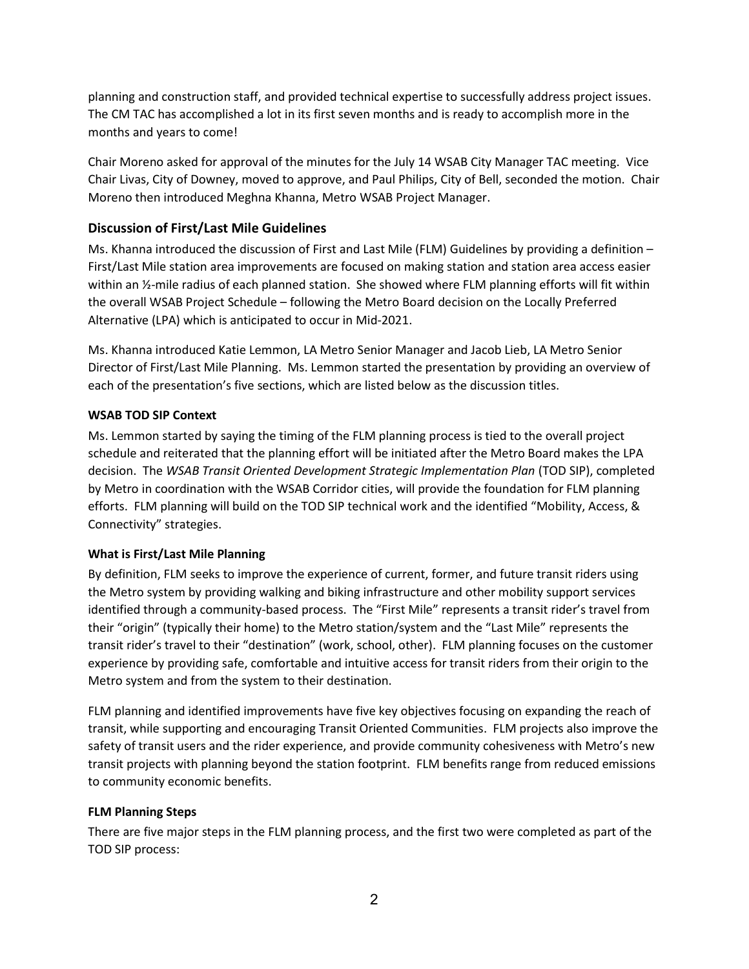planning and construction staff, and provided technical expertise to successfully address project issues. The CM TAC has accomplished a lot in its first seven months and is ready to accomplish more in the months and years to come!

Chair Moreno asked for approval of the minutes for the July 14 WSAB City Manager TAC meeting. Vice Chair Livas, City of Downey, moved to approve, and Paul Philips, City of Bell, seconded the motion. Chair Moreno then introduced Meghna Khanna, Metro WSAB Project Manager.

# Discussion of First/Last Mile Guidelines

Ms. Khanna introduced the discussion of First and Last Mile (FLM) Guidelines by providing a definition – First/Last Mile station area improvements are focused on making station and station area access easier within an  $\frac{1}{2}$ -mile radius of each planned station. She showed where FLM planning efforts will fit within the overall WSAB Project Schedule – following the Metro Board decision on the Locally Preferred Alternative (LPA) which is anticipated to occur in Mid-2021.

Ms. Khanna introduced Katie Lemmon, LA Metro Senior Manager and Jacob Lieb, LA Metro Senior Director of First/Last Mile Planning. Ms. Lemmon started the presentation by providing an overview of each of the presentation's five sections, which are listed below as the discussion titles.

## WSAB TOD SIP Context

Ms. Lemmon started by saying the timing of the FLM planning process is tied to the overall project schedule and reiterated that the planning effort will be initiated after the Metro Board makes the LPA decision. The WSAB Transit Oriented Development Strategic Implementation Plan (TOD SIP), completed by Metro in coordination with the WSAB Corridor cities, will provide the foundation for FLM planning efforts. FLM planning will build on the TOD SIP technical work and the identified "Mobility, Access, & Connectivity" strategies.

# What is First/Last Mile Planning

By definition, FLM seeks to improve the experience of current, former, and future transit riders using the Metro system by providing walking and biking infrastructure and other mobility support services identified through a community-based process. The "First Mile" represents a transit rider's travel from their "origin" (typically their home) to the Metro station/system and the "Last Mile" represents the transit rider's travel to their "destination" (work, school, other). FLM planning focuses on the customer experience by providing safe, comfortable and intuitive access for transit riders from their origin to the Metro system and from the system to their destination.

FLM planning and identified improvements have five key objectives focusing on expanding the reach of transit, while supporting and encouraging Transit Oriented Communities. FLM projects also improve the safety of transit users and the rider experience, and provide community cohesiveness with Metro's new transit projects with planning beyond the station footprint. FLM benefits range from reduced emissions to community economic benefits.

### FLM Planning Steps

There are five major steps in the FLM planning process, and the first two were completed as part of the TOD SIP process: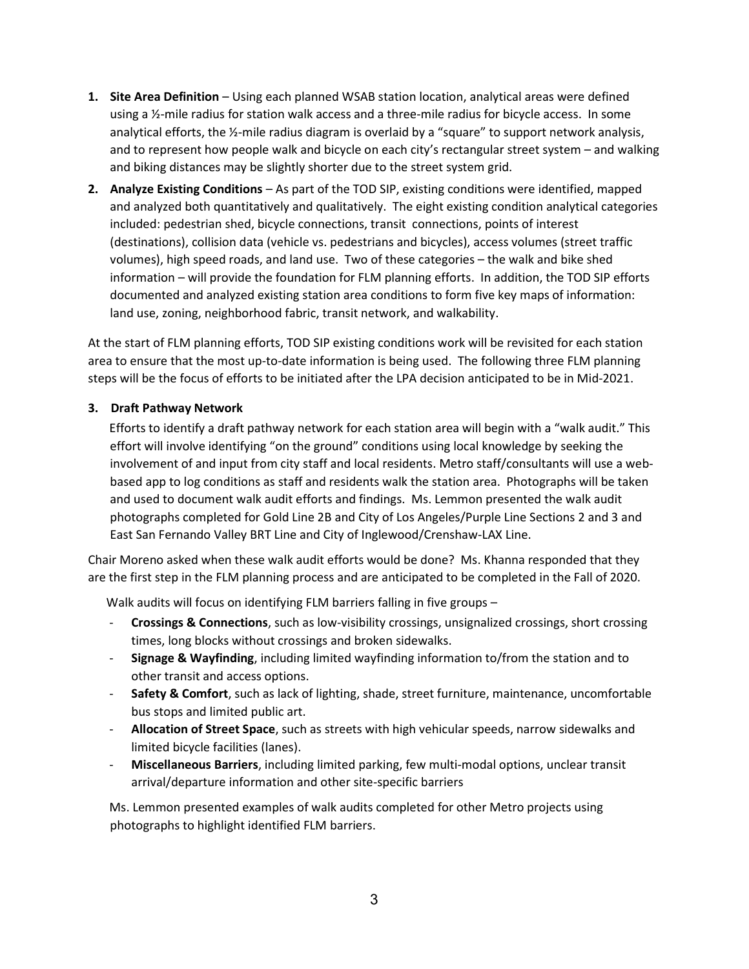- 1. Site Area Definition Using each planned WSAB station location, analytical areas were defined using a  $\frac{1}{2}$ -mile radius for station walk access and a three-mile radius for bicycle access. In some analytical efforts, the ½-mile radius diagram is overlaid by a "square" to support network analysis, and to represent how people walk and bicycle on each city's rectangular street system – and walking and biking distances may be slightly shorter due to the street system grid.
- 2. Analyze Existing Conditions As part of the TOD SIP, existing conditions were identified, mapped and analyzed both quantitatively and qualitatively. The eight existing condition analytical categories included: pedestrian shed, bicycle connections, transit connections, points of interest (destinations), collision data (vehicle vs. pedestrians and bicycles), access volumes (street traffic volumes), high speed roads, and land use. Two of these categories – the walk and bike shed information – will provide the foundation for FLM planning efforts. In addition, the TOD SIP efforts documented and analyzed existing station area conditions to form five key maps of information: land use, zoning, neighborhood fabric, transit network, and walkability.

At the start of FLM planning efforts, TOD SIP existing conditions work will be revisited for each station area to ensure that the most up-to-date information is being used. The following three FLM planning steps will be the focus of efforts to be initiated after the LPA decision anticipated to be in Mid-2021.

## 3. Draft Pathway Network

 Efforts to identify a draft pathway network for each station area will begin with a "walk audit." This effort will involve identifying "on the ground" conditions using local knowledge by seeking the involvement of and input from city staff and local residents. Metro staff/consultants will use a webbased app to log conditions as staff and residents walk the station area. Photographs will be taken and used to document walk audit efforts and findings. Ms. Lemmon presented the walk audit photographs completed for Gold Line 2B and City of Los Angeles/Purple Line Sections 2 and 3 and East San Fernando Valley BRT Line and City of Inglewood/Crenshaw-LAX Line.

Chair Moreno asked when these walk audit efforts would be done? Ms. Khanna responded that they are the first step in the FLM planning process and are anticipated to be completed in the Fall of 2020.

Walk audits will focus on identifying FLM barriers falling in five groups –

- Crossings & Connections, such as low-visibility crossings, unsignalized crossings, short crossing times, long blocks without crossings and broken sidewalks.
- Signage & Wayfinding, including limited wayfinding information to/from the station and to other transit and access options.
- **Safety & Comfort**, such as lack of lighting, shade, street furniture, maintenance, uncomfortable bus stops and limited public art.
- Allocation of Street Space, such as streets with high vehicular speeds, narrow sidewalks and limited bicycle facilities (lanes).
- **Miscellaneous Barriers**, including limited parking, few multi-modal options, unclear transit arrival/departure information and other site-specific barriers

Ms. Lemmon presented examples of walk audits completed for other Metro projects using photographs to highlight identified FLM barriers.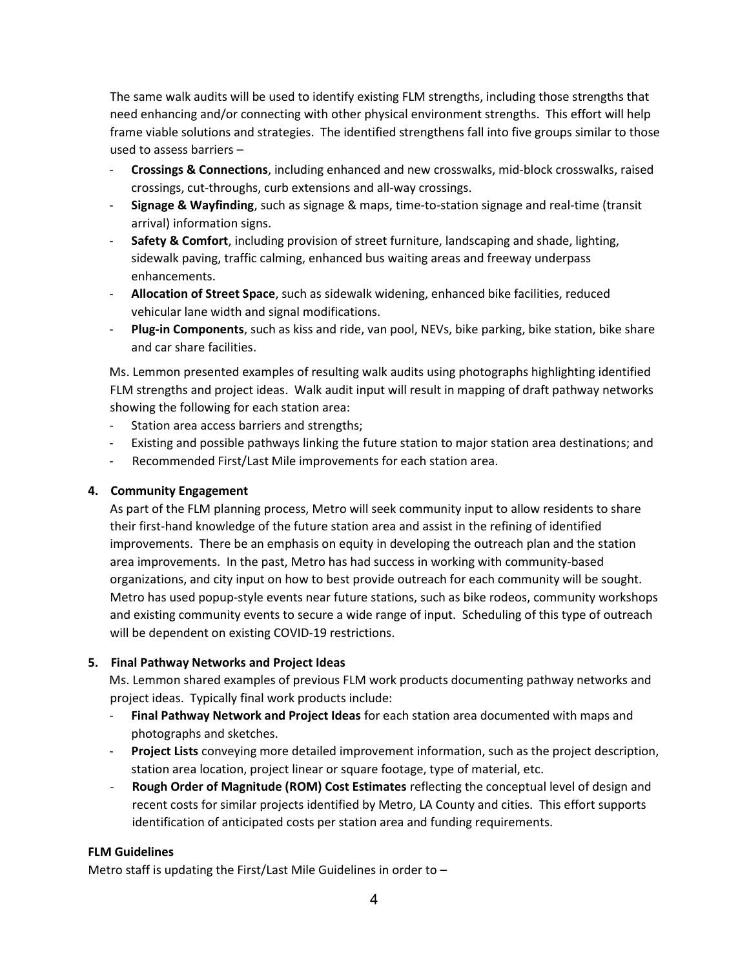The same walk audits will be used to identify existing FLM strengths, including those strengths that need enhancing and/or connecting with other physical environment strengths. This effort will help frame viable solutions and strategies. The identified strengthens fall into five groups similar to those used to assess barriers –

- Crossings & Connections, including enhanced and new crosswalks, mid-block crosswalks, raised crossings, cut-throughs, curb extensions and all-way crossings.
- Signage & Wayfinding, such as signage & maps, time-to-station signage and real-time (transit arrival) information signs.
- Safety & Comfort, including provision of street furniture, landscaping and shade, lighting, sidewalk paving, traffic calming, enhanced bus waiting areas and freeway underpass enhancements.
- Allocation of Street Space, such as sidewalk widening, enhanced bike facilities, reduced vehicular lane width and signal modifications.
- Plug-in Components, such as kiss and ride, van pool, NEVs, bike parking, bike station, bike share and car share facilities.

Ms. Lemmon presented examples of resulting walk audits using photographs highlighting identified FLM strengths and project ideas. Walk audit input will result in mapping of draft pathway networks showing the following for each station area:

- Station area access barriers and strengths;
- Existing and possible pathways linking the future station to major station area destinations; and
- Recommended First/Last Mile improvements for each station area.

## 4. Community Engagement

As part of the FLM planning process, Metro will seek community input to allow residents to share their first-hand knowledge of the future station area and assist in the refining of identified improvements. There be an emphasis on equity in developing the outreach plan and the station area improvements. In the past, Metro has had success in working with community-based organizations, and city input on how to best provide outreach for each community will be sought. Metro has used popup-style events near future stations, such as bike rodeos, community workshops and existing community events to secure a wide range of input. Scheduling of this type of outreach will be dependent on existing COVID-19 restrictions.

### 5. Final Pathway Networks and Project Ideas

 Ms. Lemmon shared examples of previous FLM work products documenting pathway networks and project ideas. Typically final work products include:

- Final Pathway Network and Project Ideas for each station area documented with maps and photographs and sketches.
- **Project Lists** conveying more detailed improvement information, such as the project description, station area location, project linear or square footage, type of material, etc.
- Rough Order of Magnitude (ROM) Cost Estimates reflecting the conceptual level of design and recent costs for similar projects identified by Metro, LA County and cities. This effort supports identification of anticipated costs per station area and funding requirements.

# FLM Guidelines

Metro staff is updating the First/Last Mile Guidelines in order to –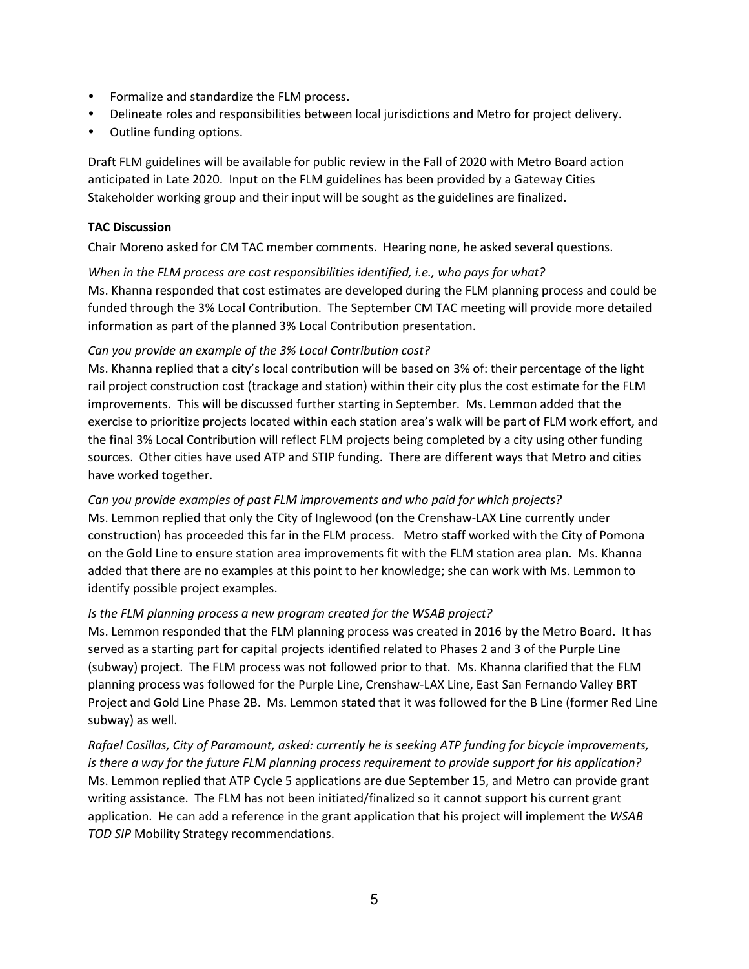- Formalize and standardize the FLM process.
- Delineate roles and responsibilities between local jurisdictions and Metro for project delivery.
- Outline funding options.

Draft FLM guidelines will be available for public review in the Fall of 2020 with Metro Board action anticipated in Late 2020. Input on the FLM guidelines has been provided by a Gateway Cities Stakeholder working group and their input will be sought as the guidelines are finalized.

## TAC Discussion

Chair Moreno asked for CM TAC member comments. Hearing none, he asked several questions.

When in the FLM process are cost responsibilities identified, i.e., who pays for what? Ms. Khanna responded that cost estimates are developed during the FLM planning process and could be funded through the 3% Local Contribution. The September CM TAC meeting will provide more detailed information as part of the planned 3% Local Contribution presentation.

## Can you provide an example of the 3% Local Contribution cost?

Ms. Khanna replied that a city's local contribution will be based on 3% of: their percentage of the light rail project construction cost (trackage and station) within their city plus the cost estimate for the FLM improvements. This will be discussed further starting in September. Ms. Lemmon added that the exercise to prioritize projects located within each station area's walk will be part of FLM work effort, and the final 3% Local Contribution will reflect FLM projects being completed by a city using other funding sources. Other cities have used ATP and STIP funding. There are different ways that Metro and cities have worked together.

# Can you provide examples of past FLM improvements and who paid for which projects?

Ms. Lemmon replied that only the City of Inglewood (on the Crenshaw-LAX Line currently under construction) has proceeded this far in the FLM process. Metro staff worked with the City of Pomona on the Gold Line to ensure station area improvements fit with the FLM station area plan. Ms. Khanna added that there are no examples at this point to her knowledge; she can work with Ms. Lemmon to identify possible project examples.

### Is the FLM planning process a new program created for the WSAB project?

Ms. Lemmon responded that the FLM planning process was created in 2016 by the Metro Board. It has served as a starting part for capital projects identified related to Phases 2 and 3 of the Purple Line (subway) project. The FLM process was not followed prior to that. Ms. Khanna clarified that the FLM planning process was followed for the Purple Line, Crenshaw-LAX Line, East San Fernando Valley BRT Project and Gold Line Phase 2B. Ms. Lemmon stated that it was followed for the B Line (former Red Line subway) as well.

Rafael Casillas, City of Paramount, asked: currently he is seeking ATP funding for bicycle improvements, is there a way for the future FLM planning process requirement to provide support for his application? Ms. Lemmon replied that ATP Cycle 5 applications are due September 15, and Metro can provide grant writing assistance. The FLM has not been initiated/finalized so it cannot support his current grant application. He can add a reference in the grant application that his project will implement the WSAB TOD SIP Mobility Strategy recommendations.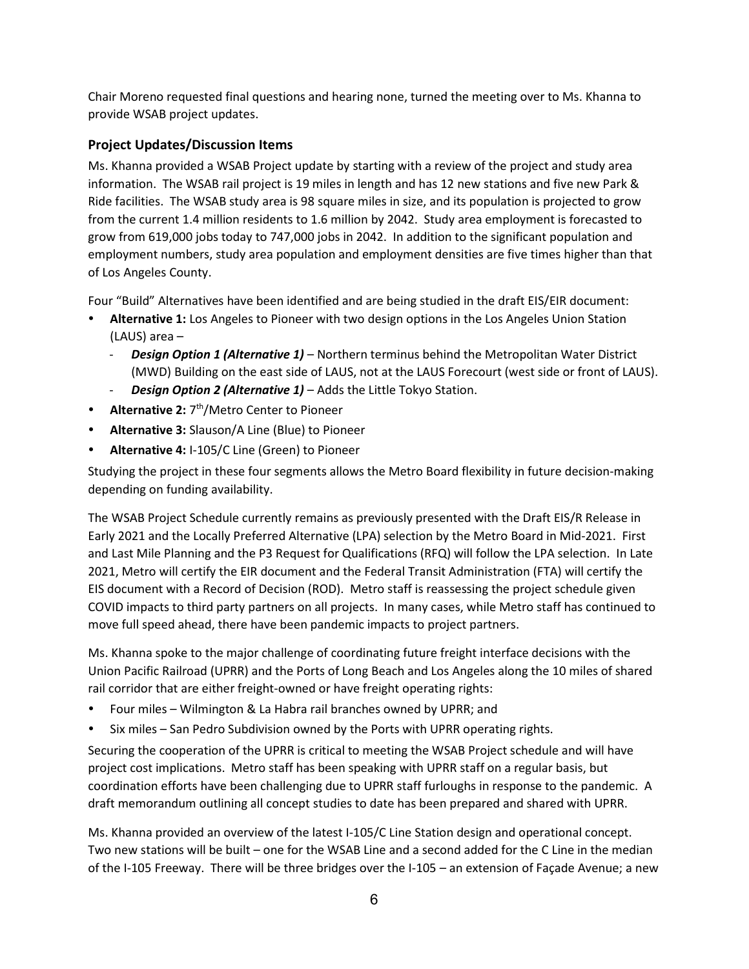Chair Moreno requested final questions and hearing none, turned the meeting over to Ms. Khanna to provide WSAB project updates.

# Project Updates/Discussion Items

Ms. Khanna provided a WSAB Project update by starting with a review of the project and study area information. The WSAB rail project is 19 miles in length and has 12 new stations and five new Park & Ride facilities. The WSAB study area is 98 square miles in size, and its population is projected to grow from the current 1.4 million residents to 1.6 million by 2042. Study area employment is forecasted to grow from 619,000 jobs today to 747,000 jobs in 2042. In addition to the significant population and employment numbers, study area population and employment densities are five times higher than that of Los Angeles County.

Four "Build" Alternatives have been identified and are being studied in the draft EIS/EIR document:

- Alternative 1: Los Angeles to Pioneer with two design options in the Los Angeles Union Station (LAUS) area –
	- **Design Option 1 (Alternative 1)** Northern terminus behind the Metropolitan Water District (MWD) Building on the east side of LAUS, not at the LAUS Forecourt (west side or front of LAUS).
	- **Design Option 2 (Alternative 1)** Adds the Little Tokyo Station.
- Alternative 2:  $7<sup>th</sup>/Metro Center to Pioneer$
- Alternative 3: Slauson/A Line (Blue) to Pioneer
- Alternative 4: I-105/C Line (Green) to Pioneer

Studying the project in these four segments allows the Metro Board flexibility in future decision-making depending on funding availability.

The WSAB Project Schedule currently remains as previously presented with the Draft EIS/R Release in Early 2021 and the Locally Preferred Alternative (LPA) selection by the Metro Board in Mid-2021. First and Last Mile Planning and the P3 Request for Qualifications (RFQ) will follow the LPA selection. In Late 2021, Metro will certify the EIR document and the Federal Transit Administration (FTA) will certify the EIS document with a Record of Decision (ROD). Metro staff is reassessing the project schedule given COVID impacts to third party partners on all projects. In many cases, while Metro staff has continued to move full speed ahead, there have been pandemic impacts to project partners.

Ms. Khanna spoke to the major challenge of coordinating future freight interface decisions with the Union Pacific Railroad (UPRR) and the Ports of Long Beach and Los Angeles along the 10 miles of shared rail corridor that are either freight-owned or have freight operating rights:

- Four miles Wilmington & La Habra rail branches owned by UPRR; and
- Six miles San Pedro Subdivision owned by the Ports with UPRR operating rights.

Securing the cooperation of the UPRR is critical to meeting the WSAB Project schedule and will have project cost implications. Metro staff has been speaking with UPRR staff on a regular basis, but coordination efforts have been challenging due to UPRR staff furloughs in response to the pandemic. A draft memorandum outlining all concept studies to date has been prepared and shared with UPRR.

Ms. Khanna provided an overview of the latest I-105/C Line Station design and operational concept. Two new stations will be built – one for the WSAB Line and a second added for the C Line in the median of the I-105 Freeway. There will be three bridges over the I-105 – an extension of Façade Avenue; a new